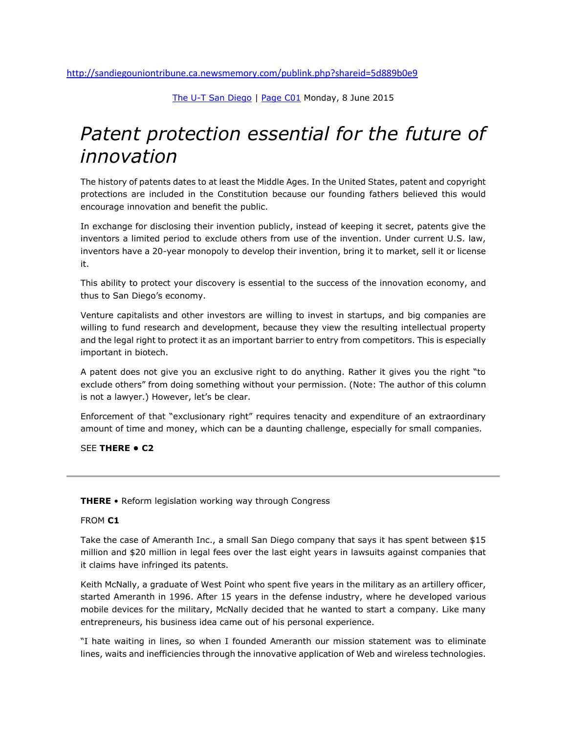[The U-T San Diego](http://sandiegouniontribune.ca.newsmemory.com/) | [Page C01](http://sandiegouniontribune.ca.newsmemory.com/?selDate=20150608&startEdition=San+Diego+Union+Tribune&goTo=C01) Monday, 8 June 2015

## *Patent protection essential for the future of innovation*

The history of patents dates to at least the Middle Ages. In the United States, patent and copyright protections are included in the Constitution because our founding fathers believed this would encourage innovation and benefit the public.

In exchange for disclosing their invention publicly, instead of keeping it secret, patents give the inventors a limited period to exclude others from use of the invention. Under current U.S. law, inventors have a 20-year monopoly to develop their invention, bring it to market, sell it or license it.

This ability to protect your discovery is essential to the success of the innovation economy, and thus to San Diego's economy.

Venture capitalists and other investors are willing to invest in startups, and big companies are willing to fund research and development, because they view the resulting intellectual property and the legal right to protect it as an important barrier to entry from competitors. This is especially important in biotech.

A patent does not give you an exclusive right to do anything. Rather it gives you the right "to exclude others" from doing something without your permission. (Note: The author of this column is not a lawyer.) However, let's be clear.

Enforcement of that "exclusionary right" requires tenacity and expenditure of an extraordinary amount of time and money, which can be a daunting challenge, especially for small companies.

SEE **THERE • C2**

## **THERE** • Reform legislation working way through Congress

## FROM **C1**

Take the case of Ameranth Inc., a small San Diego company that says it has spent between \$15 million and \$20 million in legal fees over the last eight years in lawsuits against companies that it claims have infringed its patents.

Keith McNally, a graduate of West Point who spent five years in the military as an artillery officer, started Ameranth in 1996. After 15 years in the defense industry, where he developed various mobile devices for the military, McNally decided that he wanted to start a company. Like many entrepreneurs, his business idea came out of his personal experience.

"I hate waiting in lines, so when I founded Ameranth our mission statement was to eliminate lines, waits and inefficiencies through the innovative application of Web and wireless technologies.